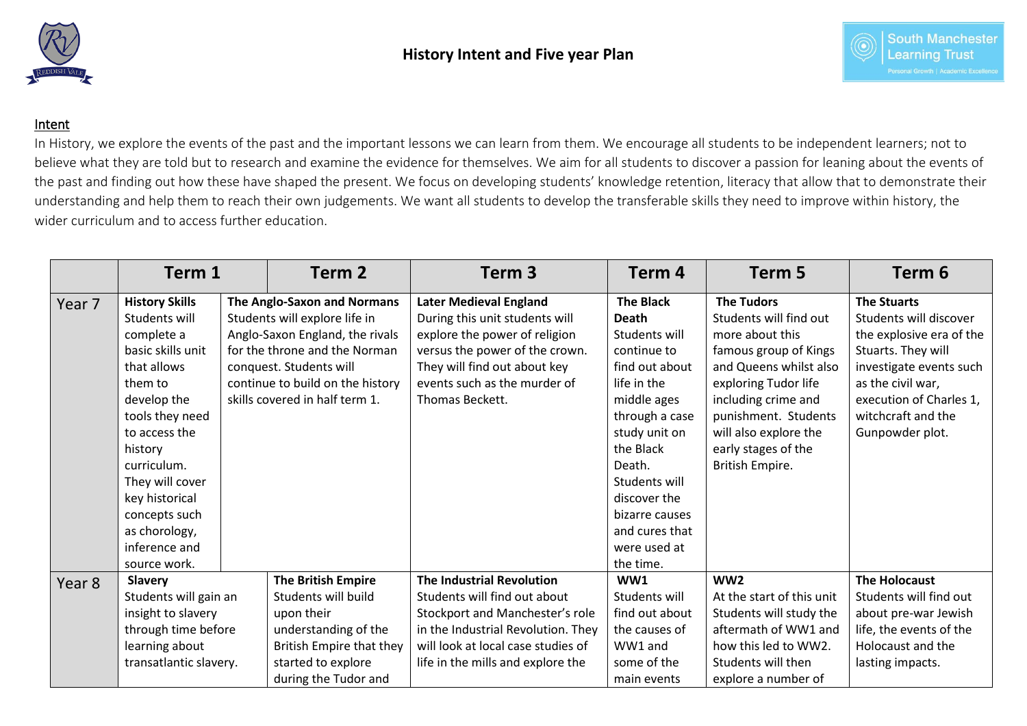



## Intent

In History, we explore the events of the past and the important lessons we can learn from them. We encourage all students to be independent learners; not to believe what they are told but to research and examine the evidence for themselves. We aim for all students to discover a passion for leaning about the events of the past and finding out how these have shaped the present. We focus on developing students' knowledge retention, literacy that allow that to demonstrate their understanding and help them to reach their own judgements. We want all students to develop the transferable skills they need to improve within history, the wider curriculum and to access further education.

|        | Term 1                                                                                                                                                                                                                                                                   |                                                                                                                                                                                                                                          | Term 2                                                                                                                              | Term <sub>3</sub>                                                                                                                                                                                                     | Term <sub>4</sub>                                                                                                                                                                                                                                               | Term 5                                                                                                                                                                                                                                                      | Term 6                                                                                                                                                                                                             |
|--------|--------------------------------------------------------------------------------------------------------------------------------------------------------------------------------------------------------------------------------------------------------------------------|------------------------------------------------------------------------------------------------------------------------------------------------------------------------------------------------------------------------------------------|-------------------------------------------------------------------------------------------------------------------------------------|-----------------------------------------------------------------------------------------------------------------------------------------------------------------------------------------------------------------------|-----------------------------------------------------------------------------------------------------------------------------------------------------------------------------------------------------------------------------------------------------------------|-------------------------------------------------------------------------------------------------------------------------------------------------------------------------------------------------------------------------------------------------------------|--------------------------------------------------------------------------------------------------------------------------------------------------------------------------------------------------------------------|
| Year 7 | <b>History Skills</b><br>Students will<br>complete a<br>basic skills unit<br>that allows<br>them to<br>develop the<br>tools they need<br>to access the<br>history<br>curriculum.<br>They will cover<br>key historical<br>concepts such<br>as chorology,<br>inference and | <b>The Anglo-Saxon and Normans</b><br>Students will explore life in<br>Anglo-Saxon England, the rivals<br>for the throne and the Norman<br>conquest. Students will<br>continue to build on the history<br>skills covered in half term 1. |                                                                                                                                     | <b>Later Medieval England</b><br>During this unit students will<br>explore the power of religion<br>versus the power of the crown.<br>They will find out about key<br>events such as the murder of<br>Thomas Beckett. | <b>The Black</b><br><b>Death</b><br>Students will<br>continue to<br>find out about<br>life in the<br>middle ages<br>through a case<br>study unit on<br>the Black<br>Death.<br>Students will<br>discover the<br>bizarre causes<br>and cures that<br>were used at | <b>The Tudors</b><br>Students will find out<br>more about this<br>famous group of Kings<br>and Queens whilst also<br>exploring Tudor life<br>including crime and<br>punishment. Students<br>will also explore the<br>early stages of the<br>British Empire. | <b>The Stuarts</b><br>Students will discover<br>the explosive era of the<br>Stuarts. They will<br>investigate events such<br>as the civil war,<br>execution of Charles 1,<br>witchcraft and the<br>Gunpowder plot. |
| Year 8 | source work.<br><b>Slavery</b>                                                                                                                                                                                                                                           |                                                                                                                                                                                                                                          | <b>The British Empire</b>                                                                                                           | <b>The Industrial Revolution</b>                                                                                                                                                                                      | the time.<br>WW1                                                                                                                                                                                                                                                | WW <sub>2</sub>                                                                                                                                                                                                                                             | <b>The Holocaust</b>                                                                                                                                                                                               |
|        | Students will gain an<br>insight to slavery<br>through time before<br>learning about<br>transatlantic slavery.                                                                                                                                                           |                                                                                                                                                                                                                                          | Students will build<br>upon their<br>understanding of the<br>British Empire that they<br>started to explore<br>during the Tudor and | Students will find out about<br>Stockport and Manchester's role<br>in the Industrial Revolution. They<br>will look at local case studies of<br>life in the mills and explore the                                      | Students will<br>find out about<br>the causes of<br>WW1 and<br>some of the<br>main events                                                                                                                                                                       | At the start of this unit<br>Students will study the<br>aftermath of WW1 and<br>how this led to WW2.<br>Students will then<br>explore a number of                                                                                                           | Students will find out<br>about pre-war Jewish<br>life, the events of the<br>Holocaust and the<br>lasting impacts.                                                                                                 |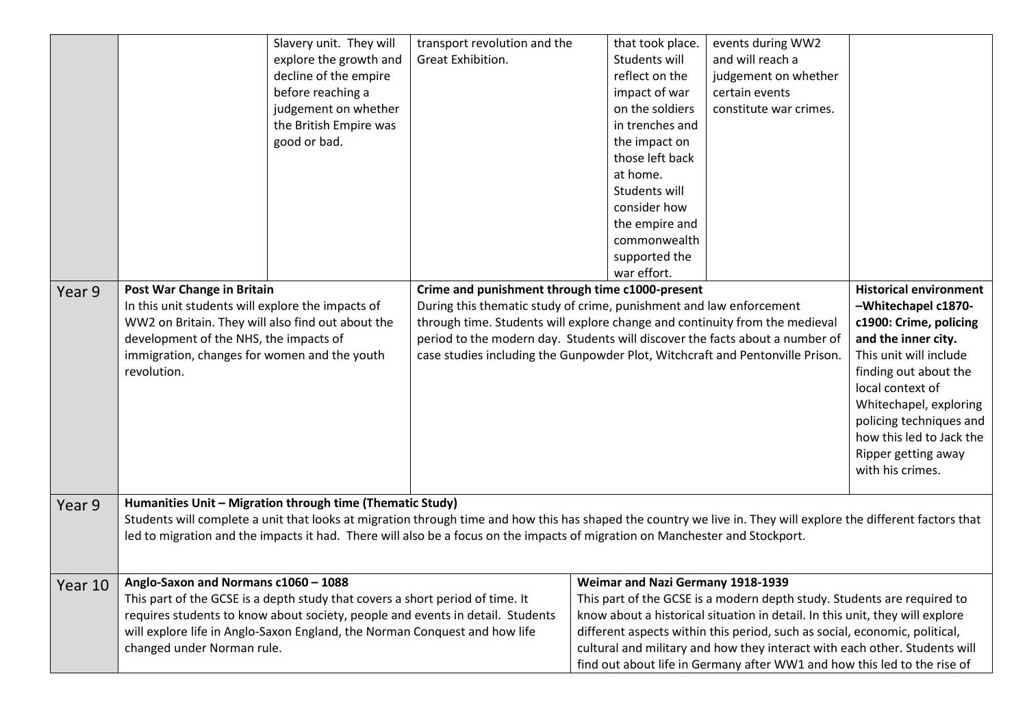|         |                                                                                                                                                                                                                                                                                                 | Slavery unit. They will              | transport revolution and the                                                                                                                             | that took place.                                                             | events during WW2                                                          |                               |  |  |
|---------|-------------------------------------------------------------------------------------------------------------------------------------------------------------------------------------------------------------------------------------------------------------------------------------------------|--------------------------------------|----------------------------------------------------------------------------------------------------------------------------------------------------------|------------------------------------------------------------------------------|----------------------------------------------------------------------------|-------------------------------|--|--|
|         |                                                                                                                                                                                                                                                                                                 | explore the growth and               | Great Exhibition.                                                                                                                                        | Students will                                                                | and will reach a                                                           |                               |  |  |
|         |                                                                                                                                                                                                                                                                                                 | decline of the empire                |                                                                                                                                                          | reflect on the                                                               | judgement on whether                                                       |                               |  |  |
|         |                                                                                                                                                                                                                                                                                                 | before reaching a                    |                                                                                                                                                          | impact of war                                                                | certain events                                                             |                               |  |  |
|         |                                                                                                                                                                                                                                                                                                 | judgement on whether                 |                                                                                                                                                          | on the soldiers                                                              | constitute war crimes.                                                     |                               |  |  |
|         |                                                                                                                                                                                                                                                                                                 | the British Empire was               |                                                                                                                                                          | in trenches and                                                              |                                                                            |                               |  |  |
|         |                                                                                                                                                                                                                                                                                                 | good or bad.                         |                                                                                                                                                          | the impact on                                                                |                                                                            |                               |  |  |
|         |                                                                                                                                                                                                                                                                                                 |                                      |                                                                                                                                                          | those left back                                                              |                                                                            |                               |  |  |
|         |                                                                                                                                                                                                                                                                                                 |                                      |                                                                                                                                                          | at home.                                                                     |                                                                            |                               |  |  |
|         |                                                                                                                                                                                                                                                                                                 |                                      |                                                                                                                                                          | Students will                                                                |                                                                            |                               |  |  |
|         |                                                                                                                                                                                                                                                                                                 |                                      |                                                                                                                                                          | consider how                                                                 |                                                                            |                               |  |  |
|         |                                                                                                                                                                                                                                                                                                 |                                      |                                                                                                                                                          | the empire and                                                               |                                                                            |                               |  |  |
|         |                                                                                                                                                                                                                                                                                                 |                                      |                                                                                                                                                          | commonwealth                                                                 |                                                                            |                               |  |  |
|         |                                                                                                                                                                                                                                                                                                 |                                      |                                                                                                                                                          | supported the                                                                |                                                                            |                               |  |  |
|         |                                                                                                                                                                                                                                                                                                 |                                      |                                                                                                                                                          | war effort.                                                                  |                                                                            |                               |  |  |
| Year 9  | Post War Change in Britain                                                                                                                                                                                                                                                                      |                                      | Crime and punishment through time c1000-present                                                                                                          |                                                                              |                                                                            | <b>Historical environment</b> |  |  |
|         | In this unit students will explore the impacts of                                                                                                                                                                                                                                               |                                      | During this thematic study of crime, punishment and law enforcement                                                                                      |                                                                              |                                                                            | -Whitechapel c1870-           |  |  |
|         | WW2 on Britain. They will also find out about the                                                                                                                                                                                                                                               |                                      | through time. Students will explore change and continuity from the medieval                                                                              | c1900: Crime, policing                                                       |                                                                            |                               |  |  |
|         | development of the NHS, the impacts of                                                                                                                                                                                                                                                          |                                      | period to the modern day. Students will discover the facts about a number of                                                                             | and the inner city.                                                          |                                                                            |                               |  |  |
|         | immigration, changes for women and the youth                                                                                                                                                                                                                                                    |                                      | case studies including the Gunpowder Plot, Witchcraft and Pentonville Prison.                                                                            | This unit will include                                                       |                                                                            |                               |  |  |
|         | revolution.                                                                                                                                                                                                                                                                                     |                                      |                                                                                                                                                          |                                                                              | finding out about the                                                      |                               |  |  |
|         |                                                                                                                                                                                                                                                                                                 |                                      |                                                                                                                                                          | local context of                                                             |                                                                            |                               |  |  |
|         |                                                                                                                                                                                                                                                                                                 |                                      |                                                                                                                                                          |                                                                              |                                                                            | Whitechapel, exploring        |  |  |
|         |                                                                                                                                                                                                                                                                                                 |                                      |                                                                                                                                                          |                                                                              |                                                                            | policing techniques and       |  |  |
|         |                                                                                                                                                                                                                                                                                                 |                                      |                                                                                                                                                          |                                                                              |                                                                            | how this led to Jack the      |  |  |
|         |                                                                                                                                                                                                                                                                                                 |                                      |                                                                                                                                                          |                                                                              |                                                                            | Ripper getting away           |  |  |
|         |                                                                                                                                                                                                                                                                                                 |                                      |                                                                                                                                                          |                                                                              |                                                                            | with his crimes.              |  |  |
|         |                                                                                                                                                                                                                                                                                                 |                                      |                                                                                                                                                          |                                                                              |                                                                            |                               |  |  |
| Year 9  | Humanities Unit - Migration through time (Thematic Study)                                                                                                                                                                                                                                       |                                      |                                                                                                                                                          |                                                                              |                                                                            |                               |  |  |
|         | Students will complete a unit that looks at migration through time and how this has shaped the country we live in. They will explore the different factors that<br>led to migration and the impacts it had. There will also be a focus on the impacts of migration on Manchester and Stockport. |                                      |                                                                                                                                                          |                                                                              |                                                                            |                               |  |  |
|         |                                                                                                                                                                                                                                                                                                 |                                      |                                                                                                                                                          |                                                                              |                                                                            |                               |  |  |
|         |                                                                                                                                                                                                                                                                                                 |                                      |                                                                                                                                                          |                                                                              |                                                                            |                               |  |  |
|         |                                                                                                                                                                                                                                                                                                 |                                      |                                                                                                                                                          |                                                                              |                                                                            |                               |  |  |
| Year 10 |                                                                                                                                                                                                                                                                                                 | Anglo-Saxon and Normans c1060 - 1088 |                                                                                                                                                          |                                                                              | Weimar and Nazi Germany 1918-1939                                          |                               |  |  |
|         | This part of the GCSE is a depth study that covers a short period of time. It                                                                                                                                                                                                                   |                                      |                                                                                                                                                          | This part of the GCSE is a modern depth study. Students are required to      |                                                                            |                               |  |  |
|         |                                                                                                                                                                                                                                                                                                 |                                      | requires students to know about society, people and events in detail. Students                                                                           | know about a historical situation in detail. In this unit, they will explore |                                                                            |                               |  |  |
|         |                                                                                                                                                                                                                                                                                                 |                                      | will explore life in Anglo-Saxon England, the Norman Conquest and how life<br>different aspects within this period, such as social, economic, political, |                                                                              |                                                                            |                               |  |  |
|         | changed under Norman rule.                                                                                                                                                                                                                                                                      |                                      |                                                                                                                                                          |                                                                              | cultural and military and how they interact with each other. Students will |                               |  |  |
|         |                                                                                                                                                                                                                                                                                                 |                                      |                                                                                                                                                          |                                                                              | find out about life in Germany after WW1 and how this led to the rise of   |                               |  |  |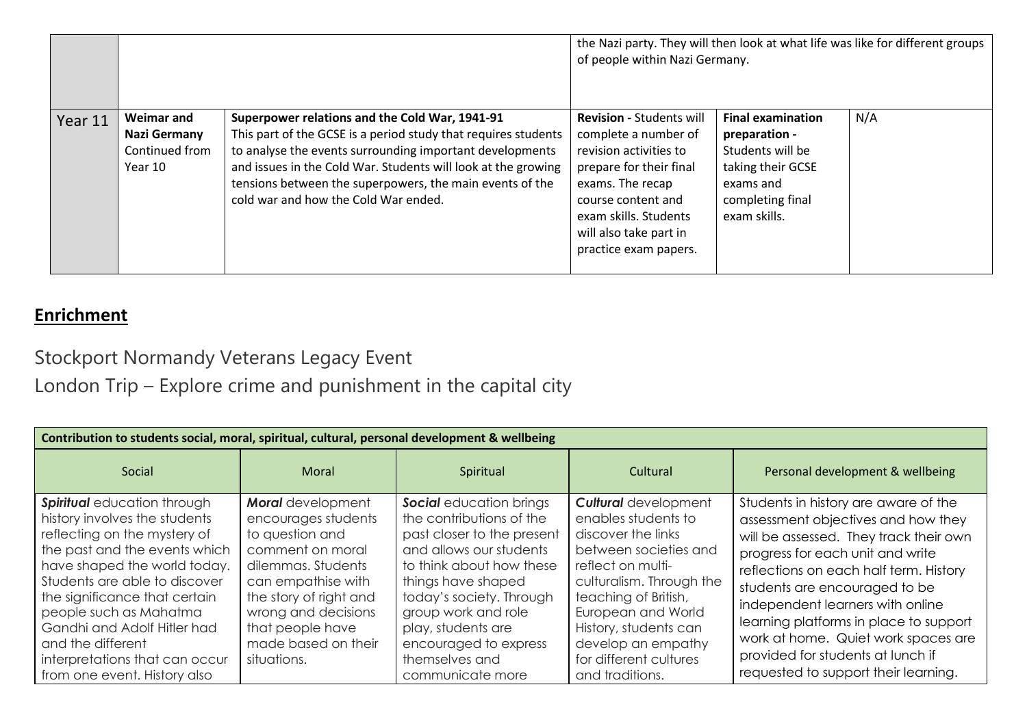|         |                                                                |                                                                                                                                                                                                                                                                                                                                                   | the Nazi party. They will then look at what life was like for different groups<br>of people within Nazi Germany.                                                                                                                   |                                                                                                                                     |     |  |
|---------|----------------------------------------------------------------|---------------------------------------------------------------------------------------------------------------------------------------------------------------------------------------------------------------------------------------------------------------------------------------------------------------------------------------------------|------------------------------------------------------------------------------------------------------------------------------------------------------------------------------------------------------------------------------------|-------------------------------------------------------------------------------------------------------------------------------------|-----|--|
| Year 11 | <b>Weimar and</b><br>Nazi Germany<br>Continued from<br>Year 10 | Superpower relations and the Cold War, 1941-91<br>This part of the GCSE is a period study that requires students<br>to analyse the events surrounding important developments<br>and issues in the Cold War. Students will look at the growing<br>tensions between the superpowers, the main events of the<br>cold war and how the Cold War ended. | <b>Revision - Students will</b><br>complete a number of<br>revision activities to<br>prepare for their final<br>exams. The recap<br>course content and<br>exam skills. Students<br>will also take part in<br>practice exam papers. | <b>Final examination</b><br>preparation -<br>Students will be<br>taking their GCSE<br>exams and<br>completing final<br>exam skills. | N/A |  |

## **Enrichment**

## Stockport Normandy Veterans Legacy Event

## London Trip – Explore crime and punishment in the capital city

| Contribution to students social, moral, spiritual, cultural, personal development & wellbeing                                                                                                                                                                                                                                                                                          |                                                                                                                                                                                                                                               |                                                                                                                                                                                                                                                                                                        |                                                                                                                                                                                                                                                                                              |                                                                                                                                                                                                                                                                                                                                                                                                                                       |  |  |  |  |
|----------------------------------------------------------------------------------------------------------------------------------------------------------------------------------------------------------------------------------------------------------------------------------------------------------------------------------------------------------------------------------------|-----------------------------------------------------------------------------------------------------------------------------------------------------------------------------------------------------------------------------------------------|--------------------------------------------------------------------------------------------------------------------------------------------------------------------------------------------------------------------------------------------------------------------------------------------------------|----------------------------------------------------------------------------------------------------------------------------------------------------------------------------------------------------------------------------------------------------------------------------------------------|---------------------------------------------------------------------------------------------------------------------------------------------------------------------------------------------------------------------------------------------------------------------------------------------------------------------------------------------------------------------------------------------------------------------------------------|--|--|--|--|
| Social                                                                                                                                                                                                                                                                                                                                                                                 | Moral                                                                                                                                                                                                                                         | Spiritual                                                                                                                                                                                                                                                                                              | Cultural                                                                                                                                                                                                                                                                                     | Personal development & wellbeing                                                                                                                                                                                                                                                                                                                                                                                                      |  |  |  |  |
| <b>Spiritual</b> education through<br>history involves the students<br>reflecting on the mystery of<br>the past and the events which<br>have shaped the world today.<br>Students are able to discover<br>the significance that certain<br>people such as Mahatma<br>Gandhi and Adolf Hitler had<br>and the different<br>interpretations that can occur<br>from one event. History also | <b>Moral</b> development<br>encourages students<br>to question and<br>comment on moral<br>dilemmas. Students<br>can empathise with<br>the story of right and<br>wrong and decisions<br>that people have<br>made based on their<br>situations. | Social education brings<br>the contributions of the<br>past closer to the present<br>and allows our students<br>to think about how these<br>things have shaped<br>today's society. Through<br>group work and role<br>play, students are<br>encouraged to express<br>themselves and<br>communicate more | <b>Cultural</b> development<br>enables students to<br>discover the links<br>between societies and<br>reflect on multi-<br>culturalism. Through the<br>teaching of British,<br>European and World<br>History, students can<br>develop an empathy<br>for different cultures<br>and traditions. | Students in history are aware of the<br>assessment objectives and how they<br>will be assessed. They track their own<br>progress for each unit and write<br>reflections on each half term. History<br>students are encouraged to be<br>independent learners with online<br>learning platforms in place to support<br>work at home. Quiet work spaces are<br>provided for students at lunch if<br>requested to support their learning. |  |  |  |  |